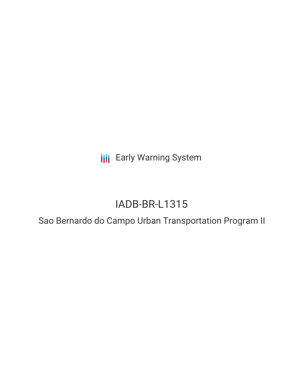**III** Early Warning System

# IADB-BR-L1315

Sao Bernardo do Campo Urban Transportation Program II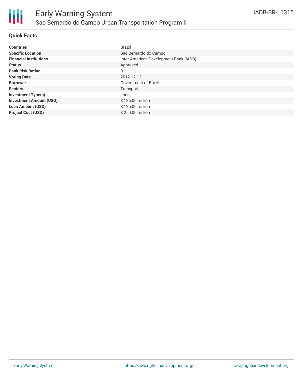## **Quick Facts**

| <b>Countries</b>               | Brazil                                 |
|--------------------------------|----------------------------------------|
|                                |                                        |
| <b>Specific Location</b>       | São Bernardo do Campo                  |
| <b>Financial Institutions</b>  | Inter-American Development Bank (IADB) |
| <b>Status</b>                  | Approved                               |
| <b>Bank Risk Rating</b>        | B                                      |
| <b>Voting Date</b>             | 2012-12-12                             |
| <b>Borrower</b>                | <b>Government of Brazil</b>            |
| <b>Sectors</b>                 | Transport                              |
| <b>Investment Type(s)</b>      | Loan                                   |
| <b>Investment Amount (USD)</b> | \$125.00 million                       |
| <b>Loan Amount (USD)</b>       | \$125.00 million                       |
| <b>Project Cost (USD)</b>      | \$250.00 million                       |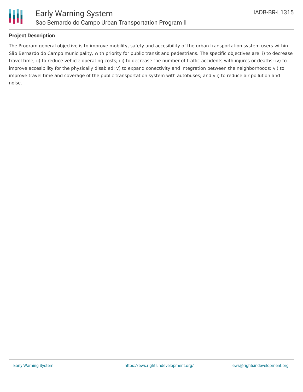

## **Project Description**

The Program general objective is to improve mobility, safety and accesibility of the urban transportation system users within São Bernardo do Campo municipality, with priority for public transit and pedestrians. The specific objectives are: i) to decrease travel time; ii) to reduce vehicle operating costs; iii) to decrease the number of traffic accidents with injures or deaths; iv) to improve accesibility for the physically disabled; v) to expand conectivity and integration between the neighborhoods; vi) to improve travel time and coverage of the public transportation system with autobuses; and vii) to reduce air pollution and noise.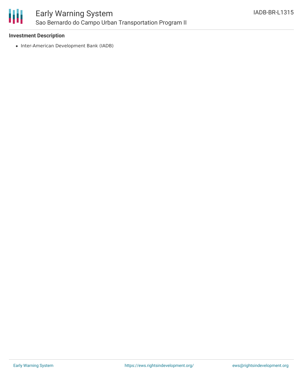

## **Investment Description**

• Inter-American Development Bank (IADB)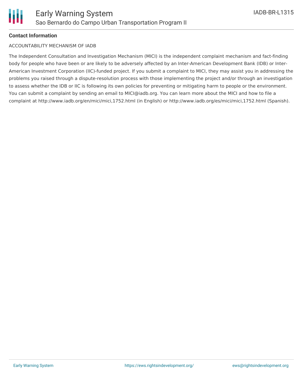

## **Contact Information**

#### ACCOUNTABILITY MECHANISM OF IADB

The Independent Consultation and Investigation Mechanism (MICI) is the independent complaint mechanism and fact-finding body for people who have been or are likely to be adversely affected by an Inter-American Development Bank (IDB) or Inter-American Investment Corporation (IIC)-funded project. If you submit a complaint to MICI, they may assist you in addressing the problems you raised through a dispute-resolution process with those implementing the project and/or through an investigation to assess whether the IDB or IIC is following its own policies for preventing or mitigating harm to people or the environment. You can submit a complaint by sending an email to MICI@iadb.org. You can learn more about the MICI and how to file a complaint at http://www.iadb.org/en/mici/mici,1752.html (in English) or http://www.iadb.org/es/mici/mici,1752.html (Spanish).